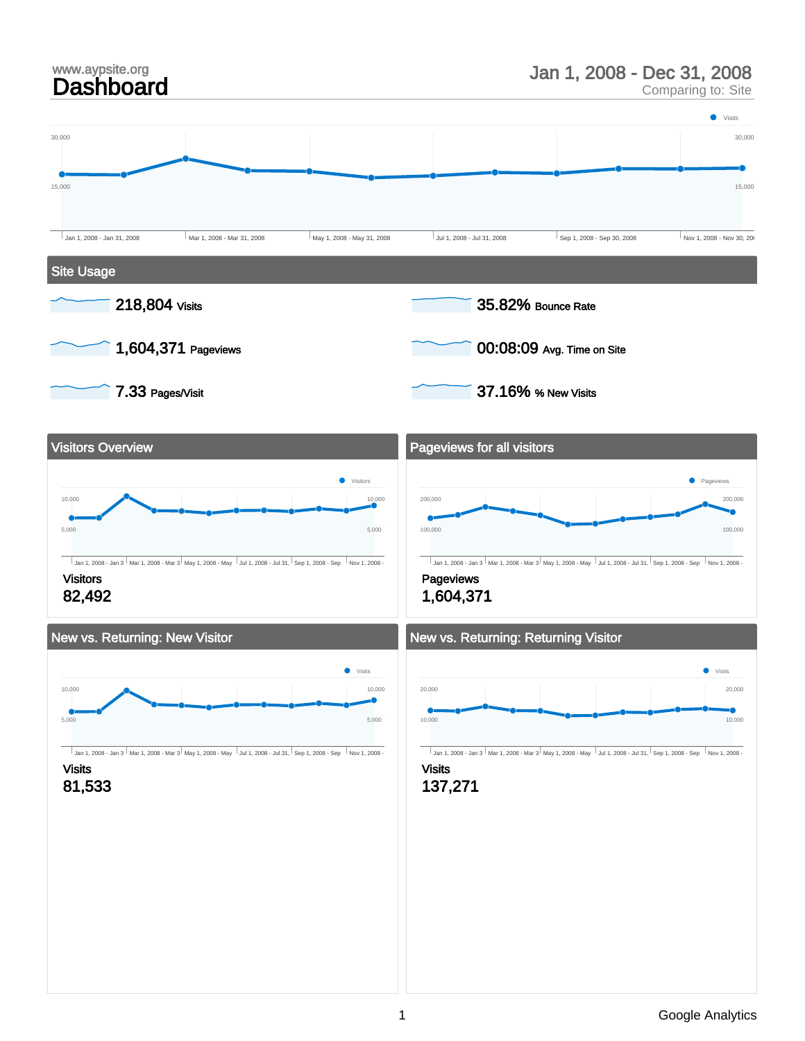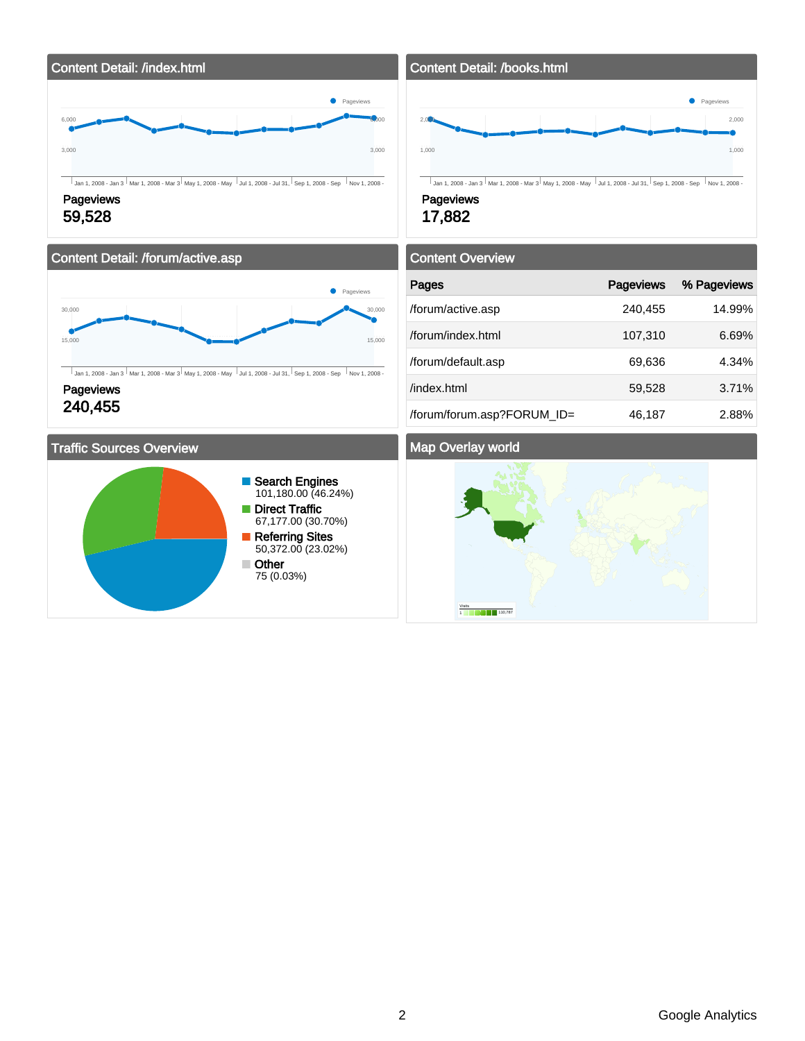

#### Content Detail: /forum/active.asp



 $\overline{\bigcup_{\mathsf{Jan 1, 2008 - Jan 3} \mid \mathsf{Mar 1, 2008 - Mar 3} \mid \mathsf{May 1, 2008 - May} \mid \mathsf{Jul 1, 2008 - Jul 31, \mid \mathsf{Sep 1, 2008 - Sep} \mid \mathsf{Nov 1, 2008 - Map}}}\big)$ 

**Pageviews** 240,455

#### Traffic Sources Overview



Content Detail: /books.html 1,000 2.00 1,000 2,000 Jan 1, 2008 - Jan 3 Mar 1, 2008 - Mar 3 May 1, 2008 - May Jul 1, 2008 - Jul 31, Sep 1, 2008 - Sep Nov 1, 2008 - Nov Pageviews

**Pageviews** 

17,882

| <b>Content Overview</b>    |           |             |  |  |  |
|----------------------------|-----------|-------------|--|--|--|
| Pages                      | Pageviews | % Pageviews |  |  |  |
| /forum/active.asp          | 240,455   | 14.99%      |  |  |  |
| /forum/index.html          | 107,310   | 6.69%       |  |  |  |
| /forum/default.asp         | 69,636    | 4.34%       |  |  |  |
| /index.html                | 59,528    | 3.71%       |  |  |  |
| /forum/forum.asp?FORUM_ID= | 46,187    | 2.88%       |  |  |  |

#### Map Overlay world

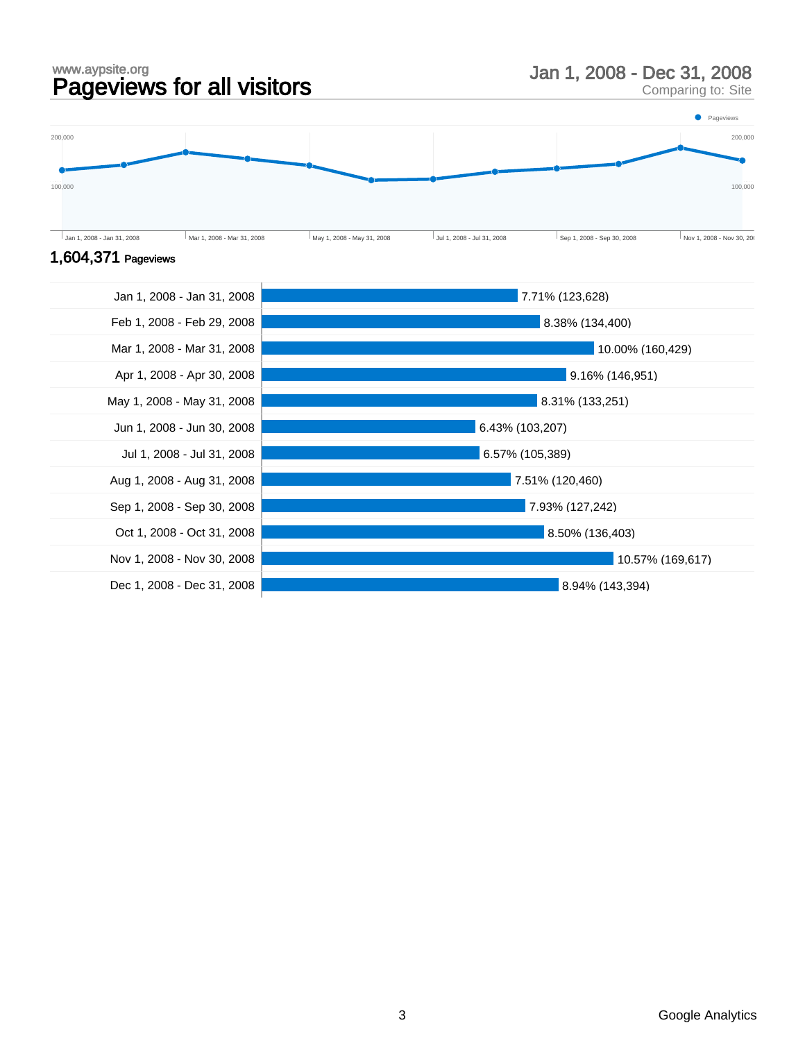#### www.aypsite.org www.aypsite.org<br> **Pageviews for all visitors** Man 1, 2008 - Dec 31, 2008<br>
Comparing to: Site

Comparing to: Site



#### 1,604,371 Pageviews

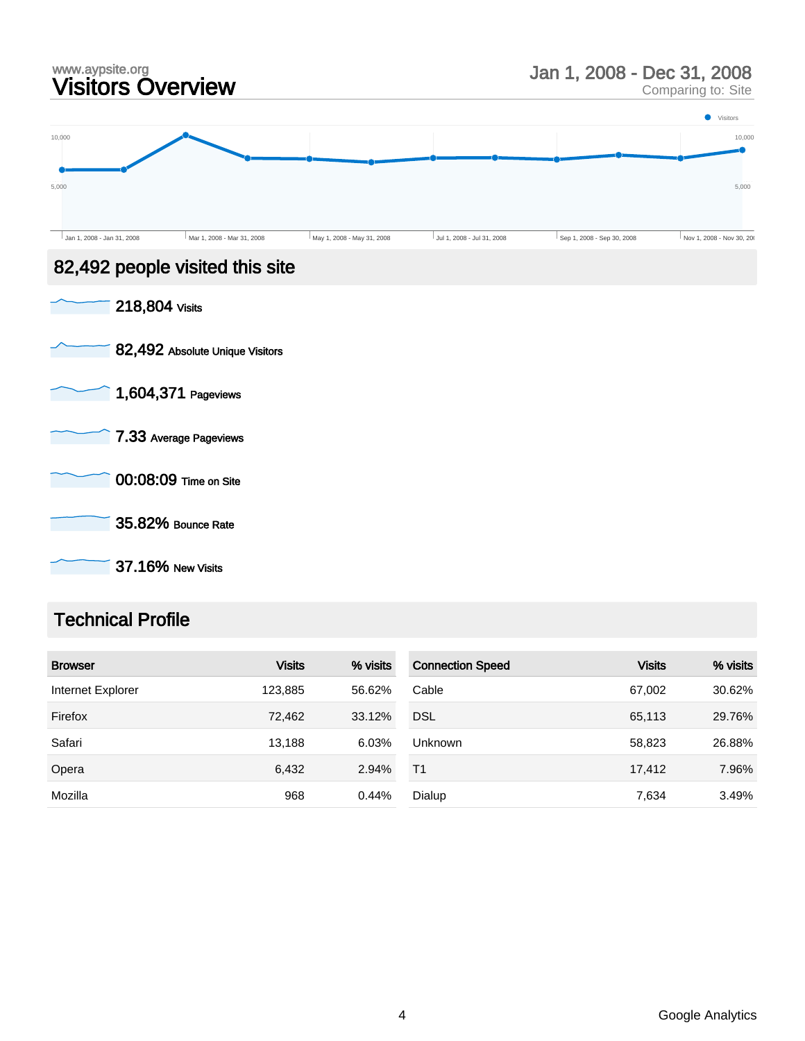

Comparing to: Site



37.16% New Visits

### Technical Profile

| <b>Browser</b>    | <b>Visits</b> | % visits | <b>Connection Speed</b> | <b>Visits</b> | % visits |
|-------------------|---------------|----------|-------------------------|---------------|----------|
| Internet Explorer | 123,885       | 56.62%   | Cable                   | 67,002        | 30.62%   |
| Firefox           | 72,462        | 33.12%   | <b>DSL</b>              | 65,113        | 29.76%   |
| Safari            | 13.188        | 6.03%    | <b>Unknown</b>          | 58,823        | 26.88%   |
| Opera             | 6,432         | 2.94%    | T <sub>1</sub>          | 17,412        | 7.96%    |
| Mozilla           | 968           | 0.44%    | Dialup                  | 7,634         | 3.49%    |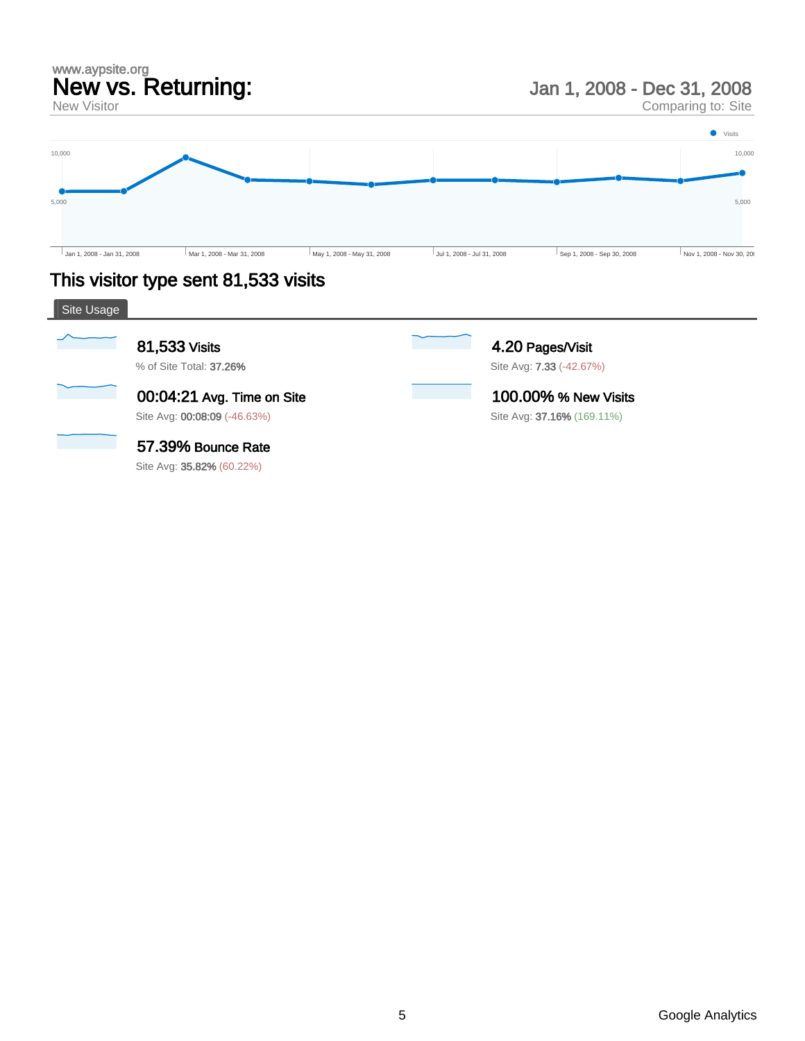### www.aypsite.org New vs. Returning:

New Visitor

Jan 1, 2008 - Dec 31, 2008

Comparing to: Site



# This visitor type sent 81,533 visits

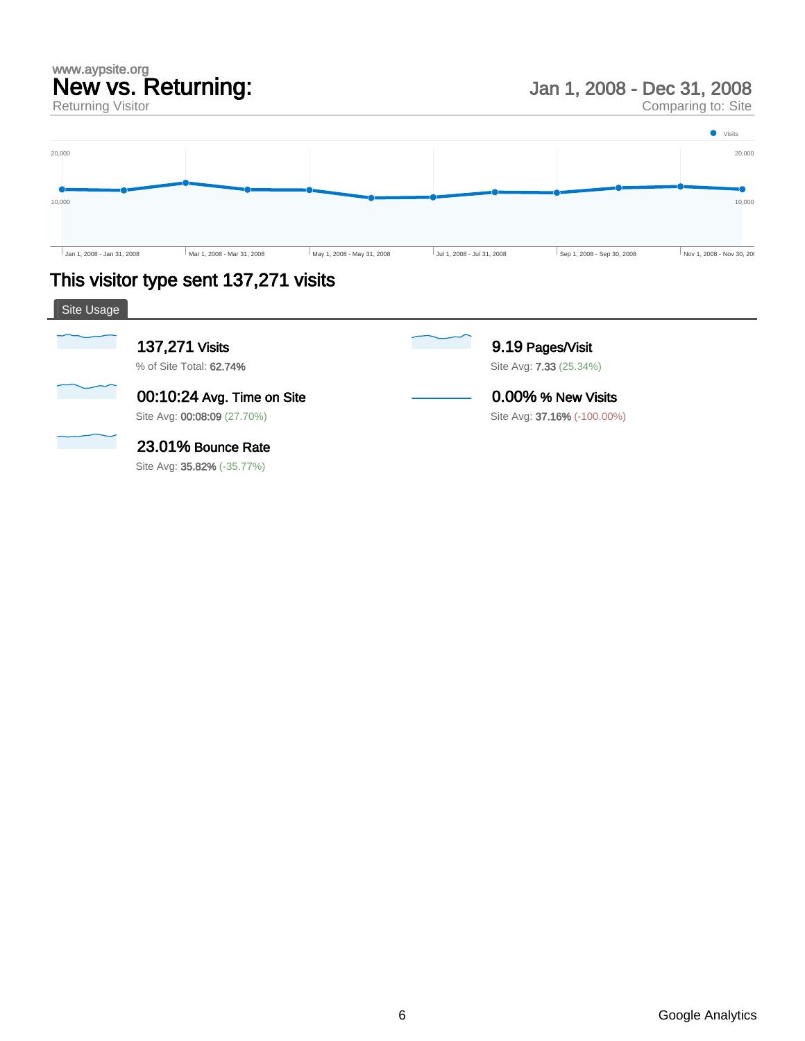# www.aypsite.org New vs. Returning:

Returning Visitor

Jan 1, 2008 - Dec 31, 2008

Comparing to: Site



# This visitor type sent 137,271 visits

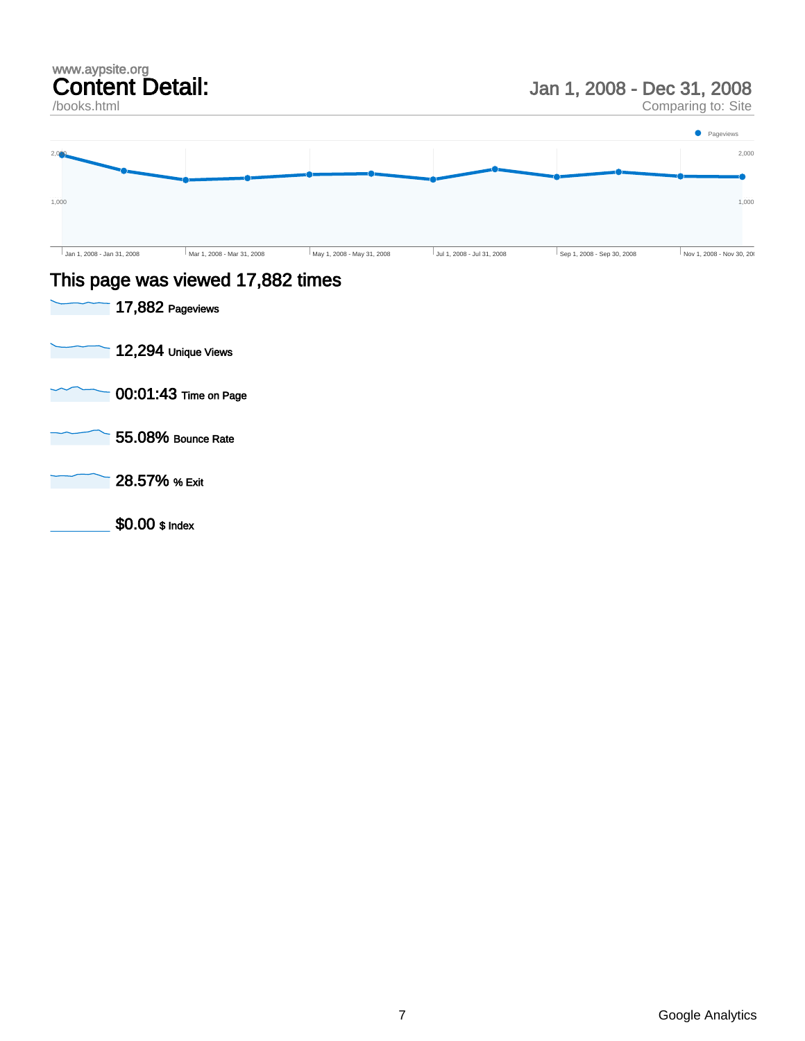#### www.aypsite.org Content Detail:

#### /books.html

### Jan 1, 2008 - Dec 31, 2008

Comparing to: Site



#### This page was viewed 17,882 times

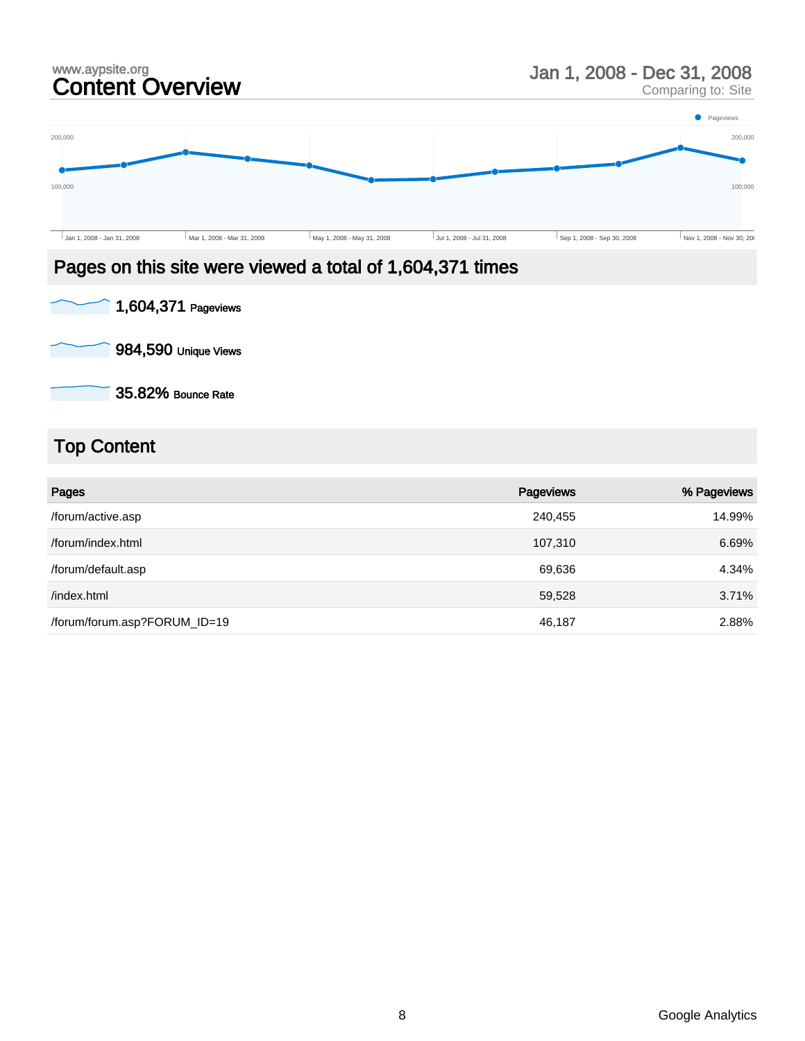#### www.aypsite.org<br> **Content Overview State State of State Content Overview State Content** Comparing to: Site Comparing to: Site **Pageviews** 200,000 200,000 ō ò 100,000 100,000 Jan 1, 2008 - Jan 31, 2008 Mar 1, 2008 - Mar 31, 2008 May 1, 2008 - May 31, 2008 Jul 1, 2008 - Jul 31, 2008 Sep 1, 2008 - Sep 30, 2008 Nov 1, 2008 - Nov 30, 2008

# Pages on this site were viewed a total of 1,604,371 times



984,590 Unique Views

35.82% Bounce Rate

# Top Content

| Pages                        | Pageviews | % Pageviews |
|------------------------------|-----------|-------------|
| /forum/active.asp            | 240,455   | 14.99%      |
| /forum/index.html            | 107,310   | 6.69%       |
| /forum/default.asp           | 69,636    | 4.34%       |
| /index.html                  | 59,528    | 3.71%       |
| /forum/forum.asp?FORUM_ID=19 | 46,187    | 2.88%       |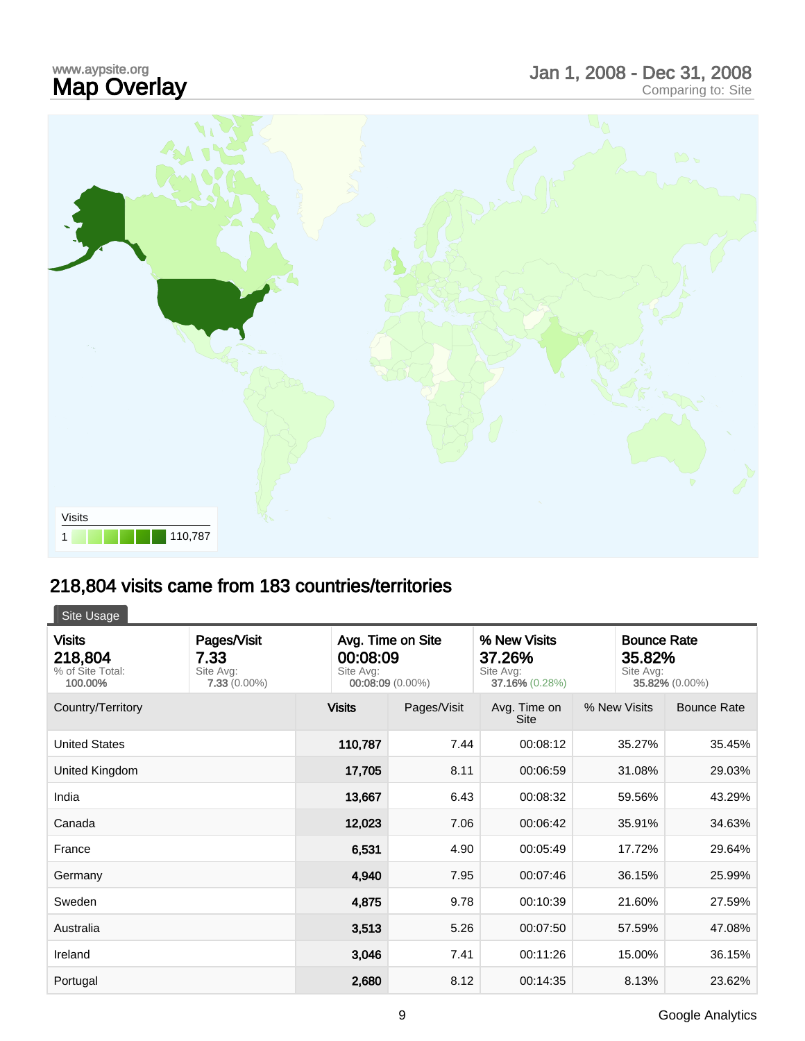# www.aypsite.org<br>**Map Overlay** www.aypsite.org<br> **Map Overlay Exercise Site Site Report of Alliance Comparing to:** Site Comparing to: Site



# 218,804 visits came from 183 countries/territories

Site Usage

| <b>Visits</b><br>218,804<br>% of Site Total:<br>100.00% | Pages/Visit<br>7.33<br>Site Avg:<br>$7.33(0.00\%)$ | Avg. Time on Site<br>% New Visits<br>00:08:09<br>37.26%<br>Site Avg:<br>Site Avg:<br>00:08:09 (0.00%)<br>37.16% (0.28%) |             |                      | <b>Bounce Rate</b><br>35.82%<br>Site Avg:<br>35.82% (0.00%) |                    |
|---------------------------------------------------------|----------------------------------------------------|-------------------------------------------------------------------------------------------------------------------------|-------------|----------------------|-------------------------------------------------------------|--------------------|
| Country/Territory                                       |                                                    | <b>Visits</b>                                                                                                           | Pages/Visit | Avg. Time on<br>Site | % New Visits                                                | <b>Bounce Rate</b> |
| <b>United States</b>                                    |                                                    | 110,787                                                                                                                 | 7.44        | 00:08:12             | 35.27%                                                      | 35.45%             |
| United Kingdom                                          |                                                    | 17,705                                                                                                                  | 8.11        | 00:06:59             | 31.08%                                                      | 29.03%             |
| India                                                   |                                                    | 13,667                                                                                                                  | 6.43        | 00:08:32             | 59.56%                                                      | 43.29%             |
| Canada                                                  |                                                    | 12,023                                                                                                                  | 7.06        | 00:06:42             | 35.91%                                                      | 34.63%             |
| France                                                  |                                                    | 6,531                                                                                                                   | 4.90        | 00:05:49             | 17.72%                                                      | 29.64%             |
| Germany                                                 |                                                    | 4,940                                                                                                                   | 7.95        | 00:07:46             | 36.15%                                                      | 25.99%             |
| Sweden                                                  |                                                    | 4,875                                                                                                                   | 9.78        | 00:10:39             | 21.60%                                                      | 27.59%             |
| Australia                                               |                                                    | 3,513                                                                                                                   | 5.26        | 00:07:50             | 57.59%                                                      | 47.08%             |
| Ireland                                                 |                                                    | 3,046                                                                                                                   | 7.41        | 00:11:26             | 15.00%                                                      | 36.15%             |
| Portugal                                                |                                                    | 2,680                                                                                                                   | 8.12        | 00:14:35             | 8.13%                                                       | 23.62%             |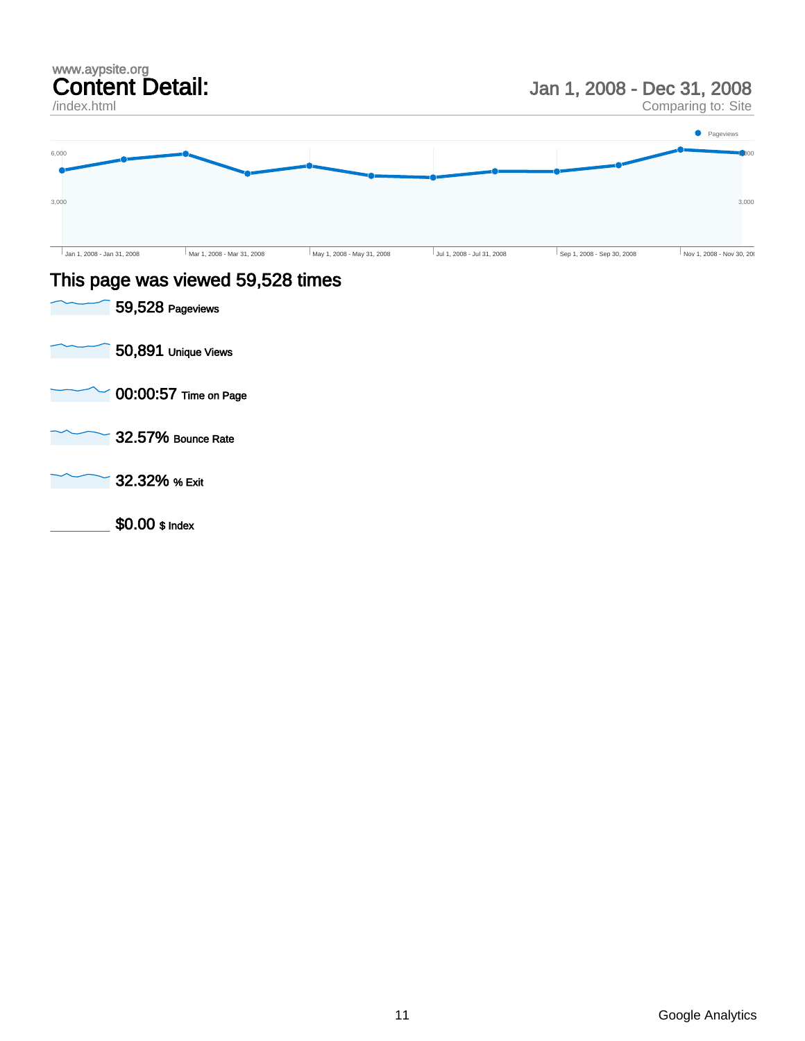| www.aypsite.org<br><b>Content Detail:</b><br>/index.html |                                   |                            | Jan 1, 2008 - Dec 31, 2008<br>Comparing to: Site |                            |                          |
|----------------------------------------------------------|-----------------------------------|----------------------------|--------------------------------------------------|----------------------------|--------------------------|
|                                                          |                                   |                            |                                                  |                            | • Pageviews              |
| 6,000                                                    |                                   |                            |                                                  |                            |                          |
| 3,000                                                    |                                   |                            |                                                  |                            | 3,000                    |
| Jan 1, 2008 - Jan 31, 2008                               | Mar 1, 2008 - Mar 31, 2008        | May 1, 2008 - May 31, 2008 | Jul 1, 2008 - Jul 31, 2008                       | Sep 1, 2008 - Sep 30, 2008 | Nov 1, 2008 - Nov 30, 20 |
|                                                          | This page was viewed 59,528 times |                            |                                                  |                            |                          |
|                                                          | 59,528 Pageviews                  |                            |                                                  |                            |                          |
|                                                          | 50,891 Unique Views               |                            |                                                  |                            |                          |
|                                                          | 00:00:57 Time on Page             |                            |                                                  |                            |                          |
|                                                          | 32.57% Bounce Rate                |                            |                                                  |                            |                          |

32.32% % Exit Γ

\$0.00 \$ Index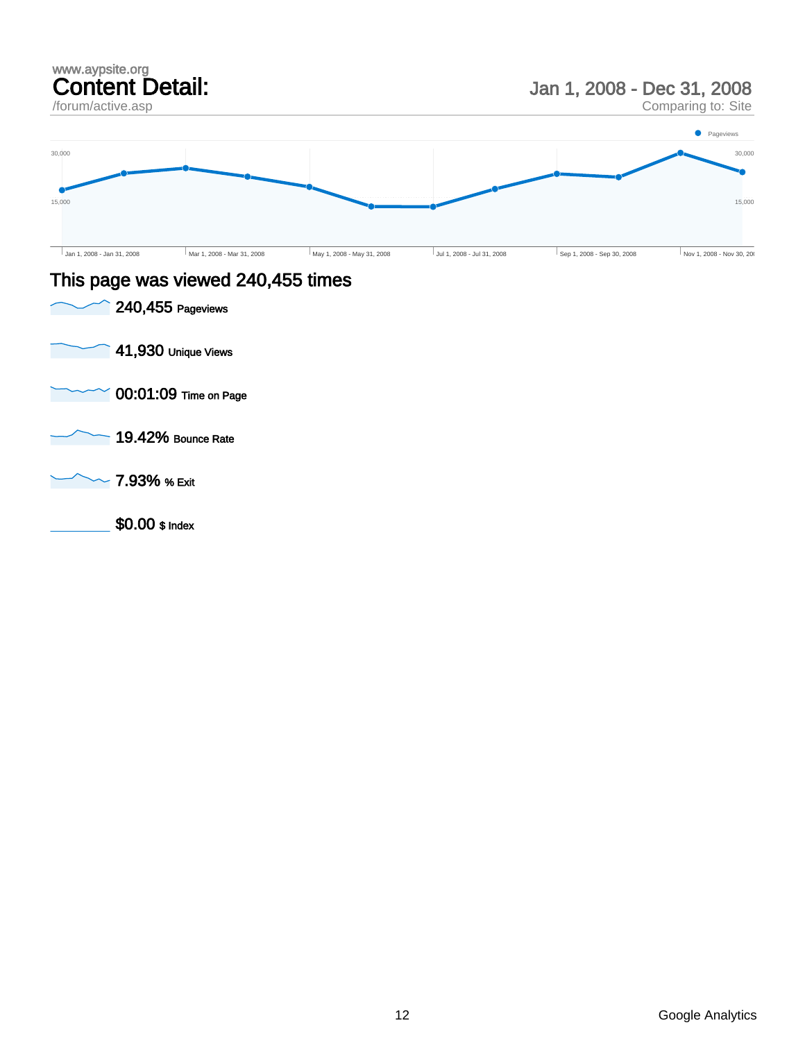

\$0.00 \$ Index